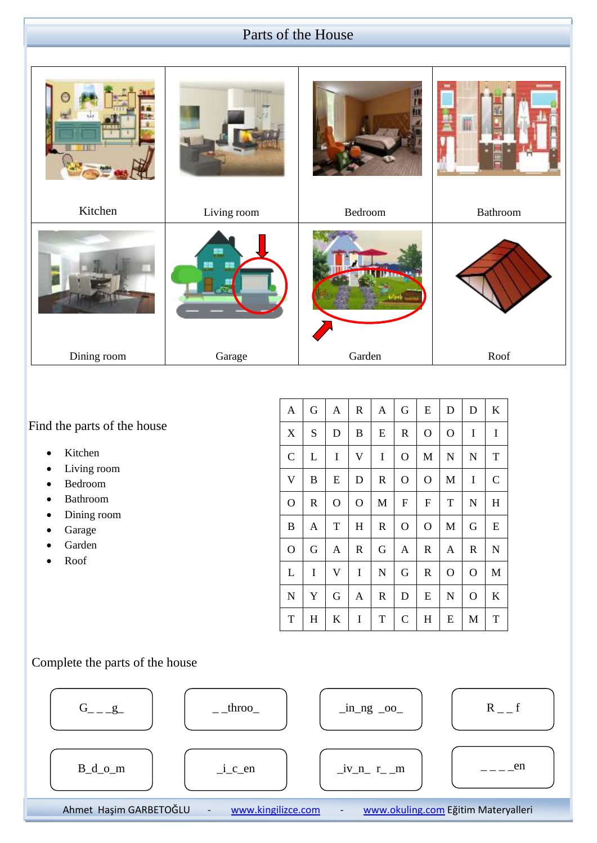### Parts of the House



Find the parts of the house

- Kitchen
- Living room
- Bedroom
- Bathroom
- Dining room
- Garage
- Garden
- Roof

| A                       | G           | A            | $\mathbf R$    | A            | G              | ${\bf E}$                 | D             | D           | $\mathbf K$  |
|-------------------------|-------------|--------------|----------------|--------------|----------------|---------------------------|---------------|-------------|--------------|
| X                       | S           | D            | B              | E            | $\mathbf R$    | $\mathbf O$               | $\mathcal{O}$ | $\mathbf I$ | I            |
| $\mathcal{C}$           | L           | I            | $\mathbf V$    | I            | $\overline{O}$ | M                         | N             | $\mathbf N$ | $\mathbf T$  |
| $\overline{\mathsf{V}}$ | B           | ${\bf E}$    | D              | $\mathbb{R}$ | $\overline{O}$ | $\mathbf O$               | $\mathbf{M}$  | $\bf I$     | $\mathsf{C}$ |
| $\mathbf{O}$            | $\mathbf R$ | $\mathbf{O}$ | $\overline{O}$ | M            | ${\rm F}$      | $\boldsymbol{\mathrm{F}}$ | T             | ${\bf N}$   | $H_{\rm}$    |
| B                       | A           | $\mathbf T$  | $H_{\rm}$      | $\mathbb{R}$ | O              | O                         | M             | G           | E            |
| $\overline{O}$          | G           | A            | $\mathbf R$    | G            | A              | $\mathbf R$               | A             | $\mathbf R$ | ${\bf N}$    |
| L                       | I           | $\mathbf V$  | I              | $\mathbf N$  | G              | $\mathbb{R}$              | $\mathcal{O}$ | $\mathbf O$ | M            |
| $\mathbf N$             | Y           | G            | Α              | $\mathbb{R}$ | D              | E                         | $\mathbf N$   | $\mathbf O$ | $\mathbf K$  |
| T                       | H           | K            | I              | T            | $\mathsf{C}$   | H                         | E             | M           | T            |

#### Complete the parts of the house